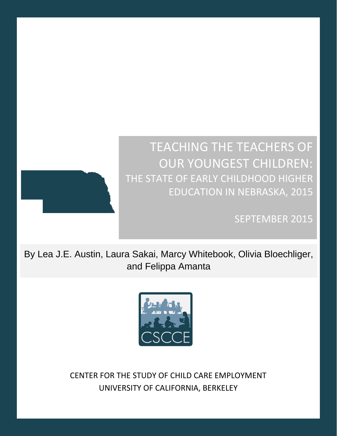

# TEACHING THE TEACHERS OF OUR YOUNGEST CHILDREN: THE STATE OF EARLY CHILDHOOD HIGHER EDUCATION IN NEBRASKA, 2015

SEPTEMBER 2015

By Lea J.E. Austin, Laura Sakai, Marcy Whitebook, Olivia Bloechliger, and Felippa Amanta



**0 Teaching the Teachers of Our Youngest Children: The State of Early Childhood Higher Education in Nebraska** UNIVERSITY OF CALIFORNIA, BERKELEYCENTER FOR THE STUDY OF CHILD CARE EMPLOYMENT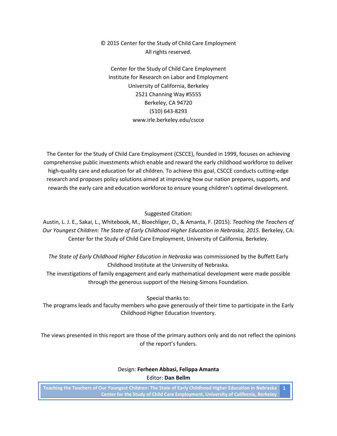#### © 2015 Center for the Study of Child Care Employment All rights reserved.

Center for the Study of Child Care Employment Institute for Research on Labor and Employment University of California, Berkeley 2521 Channing Way #5555 Berkeley, CA 94720 (510) 643-8293 www.irle.berkeley.edu/cscce

The Center for the Study of Child Care Employment (CSCCE), founded in 1999, focuses on achieving comprehensive public investments which enable and reward the early childhood workforce to deliver high-quality care and education for all children. To achieve this goal, CSCCE conducts cutting-edge research and proposes policy solutions aimed at improving how our nation prepares, supports, and rewards the early care and education workforce to ensure young children's optimal development.

#### Suggested Citation:

Austin, L. J. E., Sakai, L., Whitebook, M., Bloechliger, O., & Amanta, F. (2015). *Teaching the Teachers of Our Youngest Children: The State of Early Childhood Higher Education in Nebraska, 2015*. Berkeley, CA: Center for the Study of Child Care Employment, University of California, Berkeley.

*The State of Early Childhood Higher Education in Nebraska* was commissioned by the Buffett Early Childhood Institute at the University of Nebraska.

The investigations of family engagement and early mathematical development were made possible through the generous support of the Heising-Simons Foundation.

Special thanks to:

The programs leads and faculty members who gave generously of their time to participate in the Early Childhood Higher Education Inventory.

The views presented in this report are those of the primary authors only and do not reflect the opinions of the report's funders.

#### Design: **Ferheen Abbasi, Felippa Amanta**

Editor: **Dan Bellm**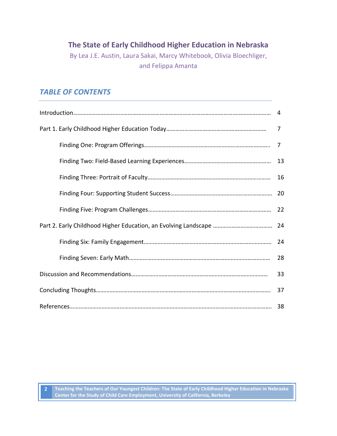# **The State of Early Childhood Higher Education in Nebraska**

By Lea J.E. Austin, Laura Sakai, Marcy Whitebook, Olivia Bloechliger, and Felippa Amanta

# *TABLE OF CONTENTS*

| 4  |
|----|
| 7  |
| 7  |
| 13 |
| 16 |
| 20 |
| 22 |
| 24 |
| 24 |
| 28 |
| 33 |
| 37 |
| 38 |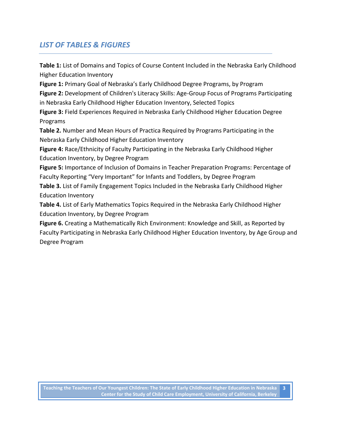# *LIST OF TABLES & FIGURES*

**Table 1:** List of Domains and Topics of Course Content Included in the Nebraska Early Childhood Higher Education Inventory

**Figure 1:** Primary Goal of Nebraska's Early Childhood Degree Programs, by Program

**Figure 2:** Development of Children's Literacy Skills: Age-Group Focus of Programs Participating in Nebraska Early Childhood Higher Education Inventory, Selected Topics

**Figure 3:** Field Experiences Required in Nebraska Early Childhood Higher Education Degree Programs

**Table 2.** Number and Mean Hours of Practica Required by Programs Participating in the Nebraska Early Childhood Higher Education Inventory

**Figure 4:** Race/Ethnicity of Faculty Participating in the Nebraska Early Childhood Higher Education Inventory, by Degree Program

**Figure 5:** Importance of Inclusion of Domains in Teacher Preparation Programs: Percentage of Faculty Reporting "Very Important" for Infants and Toddlers, by Degree Program

**Table 3.** List of Family Engagement Topics Included in the Nebraska Early Childhood Higher Education Inventory

**Table 4.** List of Early Mathematics Topics Required in the Nebraska Early Childhood Higher Education Inventory, by Degree Program

**Figure 6.** Creating a Mathematically Rich Environment: Knowledge and Skill, as Reported by Faculty Participating in Nebraska Early Childhood Higher Education Inventory, by Age Group and Degree Program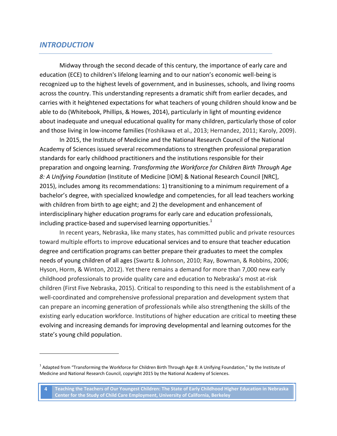## *INTRODUCTION*

Midway through the second decade of this century, the importance of early care and education (ECE) to children's lifelong learning and to our nation's economic well-being is recognized up to the highest levels of government, and in businesses, schools, and living rooms across the country. This understanding represents a dramatic shift from earlier decades, and carries with it heightened expectations for what teachers of young children should know and be able to do (Whitebook, Phillips, & Howes, 2014), particularly in light of mounting evidence about inadequate and unequal educational quality for many children, particularly those of color and those living in low-income families (Yoshikawa et al., 2013; Hernandez, 2011; Karoly, 2009).

In 2015, the Institute of Medicine and the National Research Council of the National Academy of Sciences issued several recommendations to strengthen professional preparation standards for early childhood practitioners and the institutions responsible for their preparation and ongoing learning. *Transforming the Workforce for Children Birth Through Age 8: A Unifying Foundation* (Institute of Medicine [IOM] & National Research Council [NRC], 2015), includes among its recommendations: 1) transitioning to a minimum requirement of a bachelor's degree, with specialized knowledge and competencies, for all lead teachers working with children from birth to age eight; and 2) the development and enhancement of interdisciplinary higher education programs for early care and education professionals, including practice-based and supervised learning opportunities. $<sup>1</sup>$ </sup>

In recent years, Nebraska, like many states, has committed public and private resources toward multiple efforts to improve educational services and to ensure that teacher education degree and certification programs can better prepare their graduates to meet the complex needs of young children of all ages (Swartz & Johnson, 2010; Ray, Bowman, & Robbins, 2006; Hyson, Horm, & Winton, 2012). Yet there remains a demand for more than 7,000 new early childhood professionals to provide quality care and education to Nebraska's most at-risk children (First Five Nebraska, 2015). Critical to responding to this need is the establishment of a well-coordinated and comprehensive professional preparation and development system that can prepare an incoming generation of professionals while also strengthening the skills of the existing early education workforce. Institutions of higher education are critical to meeting these evolving and increasing demands for improving developmental and learning outcomes for the state's young child population.

<sup>&</sup>lt;sup>1</sup> Adapted from "Transforming the Workforce for Children Birth Through Age 8: A Unifying Foundation," by the Institute of Medicine and National Research Council, copyright 2015 by the National Academy of Sciences.

**<sup>4</sup> Teaching the Teachers of Our Youngest Children: The State of Early Childhood Higher Education in Nebraska Center for the Study of Child Care Employment, University of California, Berkeley**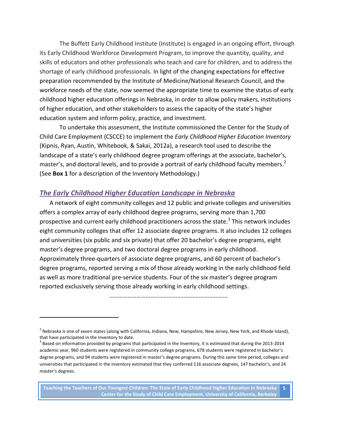The Buffett Early Childhood Institute (Institute) is engaged in an ongoing effort, through its Early Childhood Workforce Development Program, to improve the quantity, quality, and skills of educators and other professionals who teach and care for children, and to address the shortage of early childhood professionals. In light of the changing expectations for effective preparation recommended by the Institute of Medicine/National Research Council, and the workforce needs of the state, now seemed the appropriate time to examine the status of early childhood higher education offerings in Nebraska, in order to allow policy makers, institutions of higher education, and other stakeholders to assess the capacity of the state's higher education system and inform policy, practice, and investment.

To undertake this assessment, the Institute commissioned the Center for the Study of Child Care Employment (CSCCE) to implement the *Early Childhood Higher Education Inventory*  (Kipnis, Ryan, Austin, Whitebook, & Sakai, 2012a), a research tool used to describe the landscape of a state's early childhood degree program offerings at the associate, bachelor's, master's, and doctoral levels, and to provide a portrait of early childhood faculty members.<sup>2</sup> (See **Box 1** for a description of the Inventory Methodology.)

## *The Early Childhood Higher Education Landscape in Nebraska*

 $\overline{a}$ 

A network of eight community colleges and 12 public and private colleges and universities offers a complex array of early childhood degree programs, serving more than 1,700 prospective and current early childhood practitioners across the state.<sup>3</sup> This network includes eight community colleges that offer 12 associate degree programs. It also includes 12 colleges and universities (six public and six private) that offer 20 bachelor's degree programs, eight master's degree programs, and two doctoral degree programs in early childhood. Approximately three-quarters of associate degree programs, and 60 percent of bachelor's degree programs, reported serving a mix of those already working in the early childhood field as well as more traditional pre-service students. Four of the six master's degree program reported exclusively serving those already working in early childhood settings.

……………………………………………………………………

 $^2$  Nebraska is one of seven states (along with California, Indiana, New, Hampshire, New Jersey, New York, and Rhode Island), that have participated in the Inventory to date.

 $^3$  Based on information provided by programs that participated in the Inventory, it is estimated that during the 2013-2014 academic year, 960 students were registered in community college programs, 678 students were registered in bachelor's degree programs, and 94 students were registered in master's degree programs. During this same time period, colleges and universities that participated in the Inventory estimated that they conferred 116 associate degrees, 147 bachelor's, and 24 master's degrees.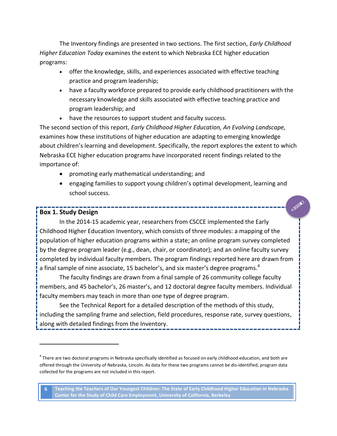The Inventory findings are presented in two sections. The first section, *Early Childhood Higher Education Today* examines the extent to which Nebraska ECE higher education programs:

- offer the knowledge, skills, and experiences associated with effective teaching practice and program leadership;
- have a faculty workforce prepared to provide early childhood practitioners with the necessary knowledge and skills associated with effective teaching practice and program leadership; and
- have the resources to support student and faculty success.

The second section of this report, *Early Childhood Higher Education, An Evolving Landscape,* examines how these institutions of higher education are adapting to emerging knowledge about children's learning and development. Specifically, the report explores the extent to which Nebraska ECE higher education programs have incorporated recent findings related to the importance of:

- promoting early mathematical understanding; and
- engaging families to support young children's optimal development, learning and school success.

P

## **Box 1. Study Design**

 $\overline{a}$ 

In the 2014-15 academic year, researchers from CSCCE implemented the Early Childhood Higher Education Inventory, which consists of three modules: a mapping of the population of higher education programs within a state; an online program survey completed by the degree program leader (e.g., dean, chair, or coordinator); and an online faculty survey completed by individual faculty members. The program findings reported here are drawn from a final sample of nine associate, 15 bachelor's, and six master's degree programs.<sup>4</sup>

The faculty findings are drawn from a final sample of 26 community college faculty members, and 45 bachelor's, 26 master's, and 12 doctoral degree faculty members. Individual faculty members may teach in more than one type of degree program.

See the Technical Report for a detailed description of the methods of this study, including the sampling frame and selection, field procedures, response rate, survey questions, along with detailed findings from the Inventory.

<sup>&</sup>lt;sup>4</sup> There are two doctoral programs in Nebraska specifically identified as focused on early childhood education, and both are offered through the University of Nebraska, Lincoln. As data for these two programs cannot be dis-identified, program data collected for the programs are not included in this report.

**<sup>6</sup> Teaching the Teachers of Our Youngest Children: The State of Early Childhood Higher Education in Nebraska Center for the Study of Child Care Employment, University of California, Berkeley**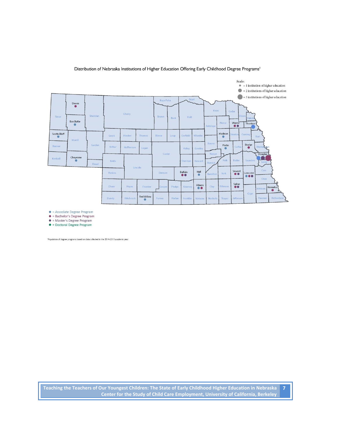



 $\bullet$  = Associate Degree Program

 $\bullet$  = Bachelor's Degree Program

 $\bullet$  = Master's Degree Program

 $\bullet$  = Doctoral Degree Program

Population of degree programs based on data collected in the 2014-2015 academic year.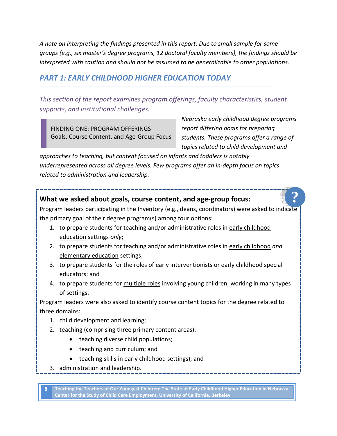*A note on interpreting the findings presented in this report: Due to small sample for some groups (e.g., six master's degree programs, 12 doctoral faculty members), the findings should be interpreted with caution and should not be assumed to be generalizable to other populations.* 

# *PART 1: EARLY CHILDHOOD HIGHER EDUCATION TODAY*

*This section of the report examines program offerings, faculty characteristics, student supports, and institutional challenges.* 

FINDING ONE: PROGRAM OFFERINGS Goals, Course Content, and Age-Group Focus

*Nebraska early childhood degree programs report differing goals for preparing students. These programs offer a range of topics related to child development and* 

*approaches to teaching, but content focused on infants and toddlers is notably underrepresented across all degree levels. Few programs offer an in-depth focus on topics related to administration and leadership.*

# **What we asked about goals, course content, and age-group focus:**

Program leaders participating in the Inventory (e.g., deans, coordinators) were asked to indicate the primary goal of their degree program(s) among four options: **?**

- 1. to prepare students for teaching and/or administrative roles in early childhood education settings *only*;
- 2. to prepare students for teaching and/or administrative roles in early childhood *and* elementary education settings;
- 3. to prepare students for the roles of early interventionists or early childhood special educators; and
- 4. to prepare students for multiple roles involving young children, working in many types of settings.

Program leaders were also asked to identify course content topics for the degree related to three domains:

- 1. child development and learning;
- 2. teaching (comprising three primary content areas):
	- teaching diverse child populations;
	- teaching and curriculum; and
	- teaching skills in early childhood settings); and
- 3. administration and leadership.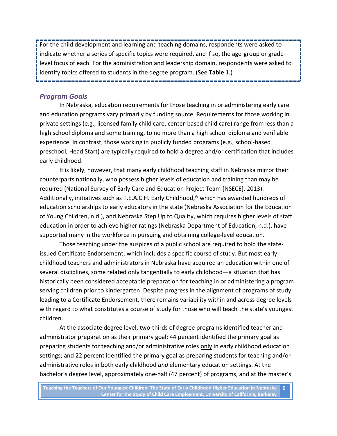For the child development and learning and teaching domains, respondents were asked to indicate whether a series of specific topics were required, and if so, the age-group or gradelevel focus of each. For the administration and leadership domain, respondents were asked to identify topics offered to students in the degree program. (See **Table 1**.)

## *Program Goals*

In Nebraska, education requirements for those teaching in or administering early care and education programs vary primarily by funding source. Requirements for those working in private settings (e.g., licensed family child care, center-based child care) range from less than a high school diploma and some training, to no more than a high school diploma and verifiable experience. In contrast, those working in publicly funded programs (e.g., school-based preschool, Head Start) are typically required to hold a degree and/or certification that includes early childhood.

It is likely, however, that many early childhood teaching staff in Nebraska mirror their counterparts nationally, who possess higher levels of education and training than may be required (National Survey of Early Care and Education Project Team [NSECE], 2013). Additionally, initiatives such as T.E.A.C.H. Early Childhood,® which has awarded hundreds of education scholarships to early educators in the state (Nebraska Association for the Education of Young Children, n.d.), and Nebraska Step Up to Quality, which requires higher levels of staff education in order to achieve higher ratings (Nebraska Department of Education, n.d.), have supported many in the workforce in pursuing and obtaining college-level education.

Those teaching under the auspices of a public school are required to hold the stateissued Certificate Endorsement, which includes a specific course of study. But most early childhood teachers and administrators in Nebraska have acquired an education within one of several disciplines, some related only tangentially to early childhood—a situation that has historically been considered acceptable preparation for teaching in or administering a program serving children prior to kindergarten. Despite progress in the alignment of programs of study leading to a Certificate Endorsement, there remains variability within and across degree levels with regard to what constitutes a course of study for those who will teach the state's youngest children.

At the associate degree level, two-thirds of degree programs identified teacher and administrator preparation as their primary goal; 44 percent identified the primary goal as preparing students for teaching and/or administrative roles only in early childhood education settings; and 22 percent identified the primary goal as preparing students for teaching and/or administrative roles in both early childhood *and* elementary education settings. At the bachelor's degree level, approximately one-half (47 percent) of programs, and at the master's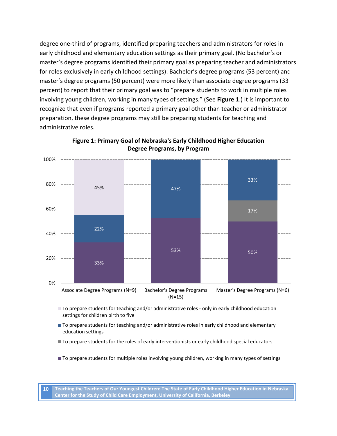degree one-third of programs, identified preparing teachers and administrators for roles in early childhood and elementary education settings as their primary goal. (No bachelor's or master's degree programs identified their primary goal as preparing teacher and administrators for roles exclusively in early childhood settings). Bachelor's degree programs (53 percent) and master's degree programs (50 percent) were more likely than associate degree programs (33 percent) to report that their primary goal was to "prepare students to work in multiple roles involving young children, working in many types of settings." (See **Figure 1**.) It is important to recognize that even if programs reported a primary goal other than teacher or administrator preparation, these degree programs may still be preparing students for teaching and administrative roles.



**Figure 1: Primary Goal of Nebraska's Early Childhood Higher Education Degree Programs, by Program**

(N=15)

To prepare students for teaching and/or administrative roles - only in early childhood education settings for children birth to five

**The prepare students for teaching and/or administrative roles in early childhood and elementary** education settings

To prepare students for the roles of early interventionists or early childhood special educators

To prepare students for multiple roles involving young children, working in many types of settings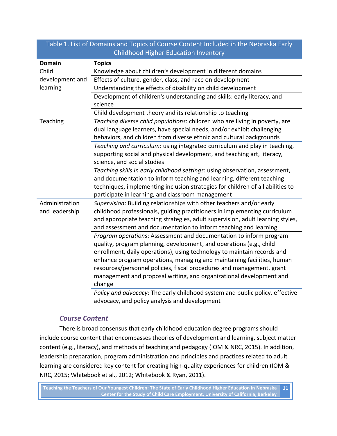|                 | <b>Childhood Higher Education Inventory</b>                                    |
|-----------------|--------------------------------------------------------------------------------|
| <b>Domain</b>   | <b>Topics</b>                                                                  |
| Child           | Knowledge about children's development in different domains                    |
| development and | Effects of culture, gender, class, and race on development                     |
| learning        | Understanding the effects of disability on child development                   |
|                 | Development of children's understanding and skills: early literacy, and        |
|                 | science                                                                        |
|                 | Child development theory and its relationship to teaching                      |
| Teaching        | Teaching diverse child populations: children who are living in poverty, are    |
|                 | dual language learners, have special needs, and/or exhibit challenging         |
|                 | behaviors, and children from diverse ethnic and cultural backgrounds           |
|                 | Teaching and curriculum: using integrated curriculum and play in teaching,     |
|                 | supporting social and physical development, and teaching art, literacy,        |
|                 | science, and social studies                                                    |
|                 | Teaching skills in early childhood settings: using observation, assessment,    |
|                 | and documentation to inform teaching and learning, different teaching          |
|                 | techniques, implementing inclusion strategies for children of all abilities to |
|                 | participate in learning, and classroom management                              |
| Administration  | Supervision: Building relationships with other teachers and/or early           |
| and leadership  | childhood professionals, guiding practitioners in implementing curriculum      |
|                 | and appropriate teaching strategies, adult supervision, adult learning styles, |
|                 | and assessment and documentation to inform teaching and learning               |
|                 | Program operations: Assessment and documentation to inform program             |
|                 | quality, program planning, development, and operations (e.g., child            |
|                 | enrollment, daily operations), using technology to maintain records and        |
|                 | enhance program operations, managing and maintaining facilities, human         |
|                 | resources/personnel policies, fiscal procedures and management, grant          |
|                 | management and proposal writing, and organizational development and            |
|                 | change                                                                         |
|                 | Policy and advocacy: The early childhood system and public policy, effective   |
|                 | advocacy, and policy analysis and development                                  |

# Table 1. List of Domains and Topics of Course Content Included in the Nebraska Early

#### *Course Content*

There is broad consensus that early childhood education degree programs should include course content that encompasses theories of development and learning, subject matter content (e.g., literacy), and methods of teaching and pedagogy (IOM & NRC, 2015). In addition, leadership preparation, program administration and principles and practices related to adult learning are considered key content for creating high-quality experiences for children (IOM & NRC, 2015; Whitebook et al., 2012; Whitebook & Ryan, 2011).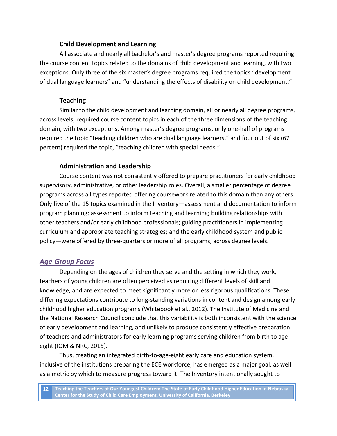#### **Child Development and Learning**

All associate and nearly all bachelor's and master's degree programs reported requiring the course content topics related to the domains of child development and learning, with two exceptions. Only three of the six master's degree programs required the topics "development of dual language learners" and "understanding the effects of disability on child development."

#### **Teaching**

Similar to the child development and learning domain, all or nearly all degree programs, across levels, required course content topics in each of the three dimensions of the teaching domain, with two exceptions. Among master's degree programs, only one-half of programs required the topic "teaching children who are dual language learners," and four out of six (67 percent) required the topic, "teaching children with special needs."

## **Administration and Leadership**

Course content was not consistently offered to prepare practitioners for early childhood supervisory, administrative, or other leadership roles. Overall, a smaller percentage of degree programs across all types reported offering coursework related to this domain than any others. Only five of the 15 topics examined in the Inventory—assessment and documentation to inform program planning; assessment to inform teaching and learning; building relationships with other teachers and/or early childhood professionals; guiding practitioners in implementing curriculum and appropriate teaching strategies; and the early childhood system and public policy—were offered by three-quarters or more of all programs, across degree levels.

## *Age-Group Focus*

Depending on the ages of children they serve and the setting in which they work, teachers of young children are often perceived as requiring different levels of skill and knowledge, and are expected to meet significantly more or less rigorous qualifications. These differing expectations contribute to long-standing variations in content and design among early childhood higher education programs (Whitebook et al., 2012). The Institute of Medicine and the National Research Council conclude that this variability is both inconsistent with the science of early development and learning, and unlikely to produce consistently effective preparation of teachers and administrators for early learning programs serving children from birth to age eight (IOM & NRC, 2015).

Thus, creating an integrated birth-to-age-eight early care and education system, inclusive of the institutions preparing the ECE workforce, has emerged as a major goal, as well as a metric by which to measure progress toward it. The Inventory intentionally sought to

**<sup>12</sup> Teaching the Teachers of Our Youngest Children: The State of Early Childhood Higher Education in Nebraska Center for the Study of Child Care Employment, University of California, Berkeley**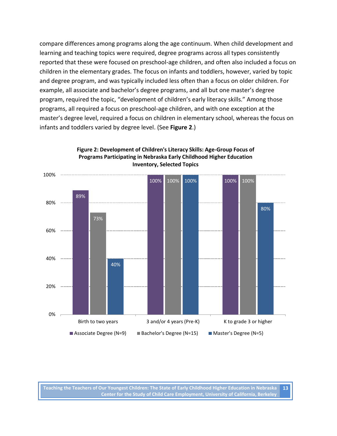compare differences among programs along the age continuum. When child development and learning and teaching topics were required, degree programs across all types consistently reported that these were focused on preschool-age children, and often also included a focus on children in the elementary grades. The focus on infants and toddlers, however, varied by topic and degree program, and was typically included less often than a focus on older children. For example, all associate and bachelor's degree programs, and all but one master's degree program, required the topic, "development of children's early literacy skills." Among those programs, all required a focus on preschool-age children, and with one exception at the master's degree level, required a focus on children in elementary school, whereas the focus on infants and toddlers varied by degree level. (See **Figure 2**.)



#### **Figure 2: Development of Children's Literacy Skills: Age-Group Focus of Programs Participating in Nebraska Early Childhood Higher Education Inventory, Selected Topics**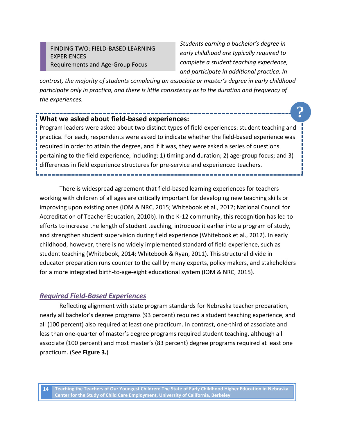#### FINDING TWO: FIELD-BASED LEARNING **EXPERIENCES** Requirements and Age-Group Focus

*Students earning a bachelor's degree in early childhood are typically required to complete a student teaching experience, and participate in additional practica. In* 

**?**

*contrast, the majority of students completing an associate or master's degree in early childhood participate only in practica, and there is little consistency as to the duration and frequency of the experiences.* 

#### **What we asked about field-based experiences:**

Program leaders were asked about two distinct types of field experiences: student teaching and practica. For each, respondents were asked to indicate whether the field-based experience was required in order to attain the degree, and if it was, they were asked a series of questions pertaining to the field experience, including: 1) timing and duration; 2) age-group focus; and 3) differences in field experience structures for pre-service and experienced teachers.

There is widespread agreement that field-based learning experiences for teachers working with children of all ages are critically important for developing new teaching skills or improving upon existing ones (IOM & NRC, 2015; Whitebook et al., 2012; National Council for Accreditation of Teacher Education, 2010b). In the K-12 community, this recognition has led to efforts to increase the length of student teaching, introduce it earlier into a program of study, and strengthen student supervision during field experience (Whitebook et al., 2012). In early childhood, however, there is no widely implemented standard of field experience, such as student teaching (Whitebook, 2014; Whitebook & Ryan, 2011). This structural divide in educator preparation runs counter to the call by many experts, policy makers, and stakeholders for a more integrated birth-to-age-eight educational system (IOM & NRC, 2015).

#### *Required Field-Based Experiences*

Reflecting alignment with state program standards for Nebraska teacher preparation, nearly all bachelor's degree programs (93 percent) required a student teaching experience, and all (100 percent) also required at least one practicum. In contrast, one-third of associate and less than one-quarter of master's degree programs required student teaching, although all associate (100 percent) and most master's (83 percent) degree programs required at least one practicum. (See **Figure 3.**)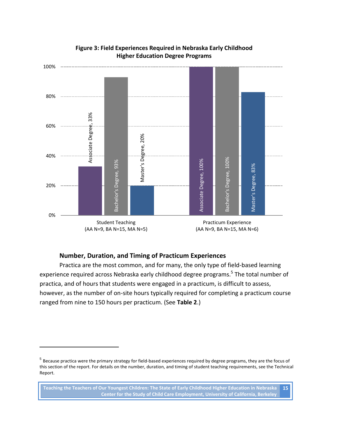

#### **Figure 3: Field Experiences Required in Nebraska Early Childhood Higher Education Degree Programs**

#### **Number, Duration, and Timing of Practicum Experiences**

Practica are the most common, and for many, the only type of field-based learning experience required across Nebraska early childhood degree programs.<sup>5</sup> The total number of practica, and of hours that students were engaged in a practicum, is difficult to assess, however, as the number of on-site hours typically required for completing a practicum course ranged from nine to 150 hours per practicum. (See **Table 2**.)

<sup>&</sup>lt;sup>5</sup> Because practica were the primary strategy for field-based experiences required by degree programs, they are the focus of this section of the report. For details on the number, duration, and timing of student teaching requirements, see the Technical Report.

**Teaching the Teachers of Our Youngest Children: The State of Early Childhood Higher Education in Nebraska Center for the Study of Child Care Employment, University of California, Berkeley 15**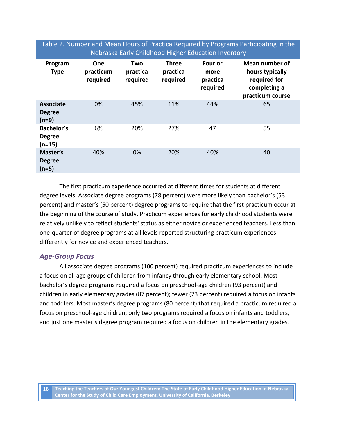| Table 2. Number and Mean Hours of Practica Required by Programs Participating in the<br>Nebraska Early Childhood Higher Education Inventory |                              |                             |                                      |                                         |                                                                                       |  |
|---------------------------------------------------------------------------------------------------------------------------------------------|------------------------------|-----------------------------|--------------------------------------|-----------------------------------------|---------------------------------------------------------------------------------------|--|
| Program<br><b>Type</b>                                                                                                                      | One<br>practicum<br>required | Two<br>practica<br>required | <b>Three</b><br>practica<br>required | Four or<br>more<br>practica<br>required | Mean number of<br>hours typically<br>required for<br>completing a<br>practicum course |  |
| <b>Associate</b><br><b>Degree</b><br>$(n=9)$                                                                                                | 0%                           | 45%                         | 11%                                  | 44%                                     | 65                                                                                    |  |
| <b>Bachelor's</b><br><b>Degree</b><br>$(n=15)$                                                                                              | 6%                           | 20%                         | 27%                                  | 47                                      | 55                                                                                    |  |
| Master's<br><b>Degree</b><br>$(n=5)$                                                                                                        | 40%                          | 0%                          | 20%                                  | 40%                                     | 40                                                                                    |  |

The first practicum experience occurred at different times for students at different degree levels. Associate degree programs (78 percent) were more likely than bachelor's (53 percent) and master's (50 percent) degree programs to require that the first practicum occur at the beginning of the course of study. Practicum experiences for early childhood students were relatively unlikely to reflect students' status as either novice or experienced teachers. Less than one-quarter of degree programs at all levels reported structuring practicum experiences differently for novice and experienced teachers.

#### *Age-Group Focus*

All associate degree programs (100 percent) required practicum experiences to include a focus on all age groups of children from infancy through early elementary school. Most bachelor's degree programs required a focus on preschool-age children (93 percent) and children in early elementary grades (87 percent); fewer (73 percent) required a focus on infants and toddlers. Most master's degree programs (80 percent) that required a practicum required a focus on preschool-age children; only two programs required a focus on infants and toddlers, and just one master's degree program required a focus on children in the elementary grades.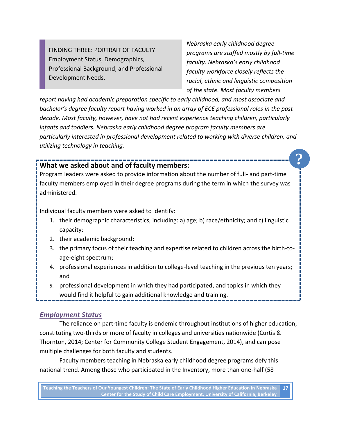FINDING THREE: PORTRAIT OF FACULTY Employment Status, Demographics, Professional Background, and Professional Development Needs.

*Nebraska early childhood degree programs are staffed mostly by full-time faculty. Nebraska's early childhood faculty workforce closely reflects the racial, ethnic and linguistic composition of the state. Most faculty members* 

**?**

*report having had academic preparation specific to early childhood, and most associate and bachelor's degree faculty report having worked in an array of ECE professional roles in the past decade. Most faculty, however, have not had recent experience teaching children, particularly infants and toddlers. Nebraska early childhood degree program faculty members are particularly interested in professional development related to working with diverse children, and utilizing technology in teaching.*

## **What we asked about and of faculty members:**

Program leaders were asked to provide information about the number of full- and part-time faculty members employed in their degree programs during the term in which the survey was administered.

Individual faculty members were asked to identify:

- 1. their demographic characteristics, including: a) age; b) race/ethnicity; and c) linguistic capacity;
- 2. their academic background;
- 3. the primary focus of their teaching and expertise related to children across the birth-toage-eight spectrum;
- 4. professional experiences in addition to college-level teaching in the previous ten years; and
- 5. professional development in which they had participated, and topics in which they would find it helpful to gain additional knowledge and training.

# *Employment Status*

The reliance on part-time faculty is endemic throughout institutions of higher education, constituting two-thirds or more of faculty in colleges and universities nationwide (Curtis & Thornton, 2014; Center for Community College Student Engagement, 2014), and can pose multiple challenges for both faculty and students.

Faculty members teaching in Nebraska early childhood degree programs defy this national trend. Among those who participated in the Inventory, more than one-half (58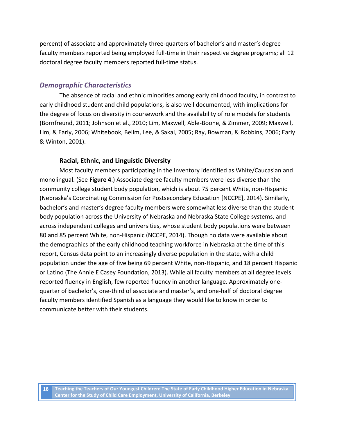percent) of associate and approximately three-quarters of bachelor's and master's degree faculty members reported being employed full-time in their respective degree programs; all 12 doctoral degree faculty members reported full-time status.

#### *Demographic Characteristics*

The absence of racial and ethnic minorities among early childhood faculty, in contrast to early childhood student and child populations, is also well documented, with implications for the degree of focus on diversity in coursework and the availability of role models for students (Bornfreund, 2011; Johnson et al., 2010; Lim, Maxwell, Able-Boone, & Zimmer, 2009; Maxwell, Lim, & Early, 2006; Whitebook, Bellm, Lee, & Sakai, 2005; Ray, Bowman, & Robbins, 2006; Early & Winton, 2001).

#### **Racial, Ethnic, and Linguistic Diversity**

Most faculty members participating in the Inventory identified as White/Caucasian and monolingual. (See **Figure 4**.) Associate degree faculty members were less diverse than the community college student body population, which is about 75 percent White, non-Hispanic (Nebraska's Coordinating Commission for Postsecondary Education [NCCPE], 2014). Similarly, bachelor's and master's degree faculty members were somewhat less diverse than the student body population across the University of Nebraska and Nebraska State College systems, and across independent colleges and universities, whose student body populations were between 80 and 85 percent White, non-Hispanic (NCCPE, 2014). Though no data were available about the demographics of the early childhood teaching workforce in Nebraska at the time of this report, Census data point to an increasingly diverse population in the state, with a child population under the age of five being 69 percent White, non-Hispanic, and 18 percent Hispanic or Latino (The Annie E Casey Foundation, 2013). While all faculty members at all degree levels reported fluency in English, few reported fluency in another language. Approximately onequarter of bachelor's, one-third of associate and master's, and one-half of doctoral degree faculty members identified Spanish as a language they would like to know in order to communicate better with their students.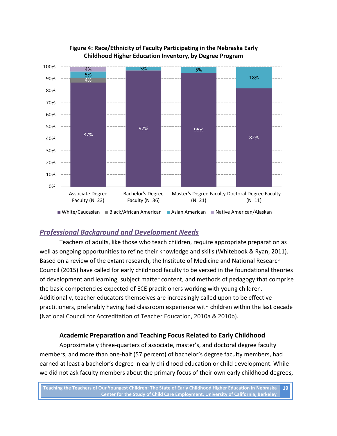

#### **Figure 4: Race/Ethnicity of Faculty Participating in the Nebraska Early Childhood Higher Education Inventory, by Degree Program**

## *Professional Background and Development Needs*

Teachers of adults, like those who teach children, require appropriate preparation as well as ongoing opportunities to refine their knowledge and skills (Whitebook & Ryan, 2011). Based on a review of the extant research, the Institute of Medicine and National Research Council (2015) have called for early childhood faculty to be versed in the foundational theories of development and learning, subject matter content, and methods of pedagogy that comprise the basic competencies expected of ECE practitioners working with young children. Additionally, teacher educators themselves are increasingly called upon to be effective practitioners, preferably having had classroom experience with children within the last decade (National Council for Accreditation of Teacher Education, 2010a & 2010b).

#### **Academic Preparation and Teaching Focus Related to Early Childhood**

Approximately three-quarters of associate, master's, and doctoral degree faculty members, and more than one-half (57 percent) of bachelor's degree faculty members, had earned at least a bachelor's degree in early childhood education or child development. While we did not ask faculty members about the primary focus of their own early childhood degrees,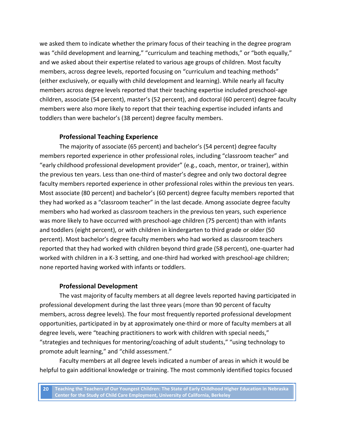we asked them to indicate whether the primary focus of their teaching in the degree program was "child development and learning," "curriculum and teaching methods," or "both equally," and we asked about their expertise related to various age groups of children. Most faculty members, across degree levels, reported focusing on "curriculum and teaching methods" (either exclusively, or equally with child development and learning). While nearly all faculty members across degree levels reported that their teaching expertise included preschool-age children, associate (54 percent), master's (52 percent), and doctoral (60 percent) degree faculty members were also more likely to report that their teaching expertise included infants and toddlers than were bachelor's (38 percent) degree faculty members.

#### **Professional Teaching Experience**

The majority of associate (65 percent) and bachelor's (54 percent) degree faculty members reported experience in other professional roles, including "classroom teacher" and "early childhood professional development provider" (e.g., coach, mentor, or trainer), within the previous ten years. Less than one-third of master's degree and only two doctoral degree faculty members reported experience in other professional roles within the previous ten years. Most associate (80 percent) and bachelor's (60 percent) degree faculty members reported that they had worked as a "classroom teacher" in the last decade. Among associate degree faculty members who had worked as classroom teachers in the previous ten years, such experience was more likely to have occurred with preschool-age children (75 percent) than with infants and toddlers (eight percent), or with children in kindergarten to third grade or older (50 percent). Most bachelor's degree faculty members who had worked as classroom teachers reported that they had worked with children beyond third grade (58 percent), one-quarter had worked with children in a K-3 setting, and one-third had worked with preschool-age children; none reported having worked with infants or toddlers.

#### **Professional Development**

The vast majority of faculty members at all degree levels reported having participated in professional development during the last three years (more than 90 percent of faculty members, across degree levels). The four most frequently reported professional development opportunities, participated in by at approximately one-third or more of faculty members at all degree levels, were "teaching practitioners to work with children with special needs," "strategies and techniques for mentoring/coaching of adult students," "using technology to promote adult learning," and "child assessment."

Faculty members at all degree levels indicated a number of areas in which it would be helpful to gain additional knowledge or training. The most commonly identified topics focused

**<sup>20</sup> Teaching the Teachers of Our Youngest Children: The State of Early Childhood Higher Education in Nebraska Center for the Study of Child Care Employment, University of California, Berkeley**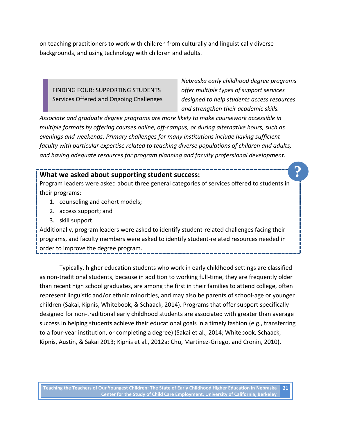on teaching practitioners to work with children from culturally and linguistically diverse backgrounds, and using technology with children and adults.

FINDING FOUR: SUPPORTING STUDENTS Services Offered and Ongoing Challenges *Nebraska early childhood degree programs offer multiple types of support services designed to help students access resources and strengthen their academic skills.* 

**?**

*Associate and graduate degree programs are more likely to make coursework accessible in multiple formats by offering courses online, off-campus, or during alternative hours, such as evenings and weekends. Primary challenges for many institutions include having sufficient faculty with particular expertise related to teaching diverse populations of children and adults, and having adequate resources for program planning and faculty professional development.* 

#### **What we asked about supporting student success:**

Program leaders were asked about three general categories of services offered to students in their programs:

- 1. counseling and cohort models;
- 2. access support; and
- 3. skill support.

Additionally, program leaders were asked to identify student-related challenges facing their programs, and faculty members were asked to identify student-related resources needed in order to improve the degree program.

Typically, higher education students who work in early childhood settings are classified as non-traditional students, because in addition to working full-time, they are frequently older than recent high school graduates, are among the first in their families to attend college, often represent linguistic and/or ethnic minorities, and may also be parents of school-age or younger children (Sakai, Kipnis, Whitebook, & Schaack, 2014). Programs that offer support specifically designed for non-traditional early childhood students are associated with greater than average success in helping students achieve their educational goals in a timely fashion (e.g., transferring to a four-year institution, or completing a degree) (Sakai et al., 2014; Whitebook, Schaack, Kipnis, Austin, & Sakai 2013; Kipnis et al., 2012a; Chu, Martinez-Griego, and Cronin, 2010).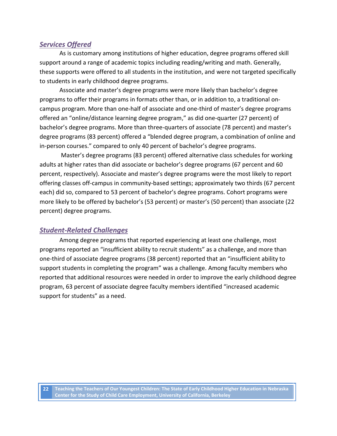#### *Services Offered*

As is customary among institutions of higher education, degree programs offered skill support around a range of academic topics including reading/writing and math. Generally, these supports were offered to all students in the institution, and were not targeted specifically to students in early childhood degree programs.

Associate and master's degree programs were more likely than bachelor's degree programs to offer their programs in formats other than, or in addition to, a traditional oncampus program. More than one-half of associate and one-third of master's degree programs offered an "online/distance learning degree program," as did one-quarter (27 percent) of bachelor's degree programs. More than three-quarters of associate (78 percent) and master's degree programs (83 percent) offered a "blended degree program, a combination of online and in-person courses." compared to only 40 percent of bachelor's degree programs.

Master's degree programs (83 percent) offered alternative class schedules for working adults at higher rates than did associate or bachelor's degree programs (67 percent and 60 percent, respectively). Associate and master's degree programs were the most likely to report offering classes off-campus in community-based settings; approximately two thirds (67 percent each) did so, compared to 53 percent of bachelor's degree programs. Cohort programs were more likely to be offered by bachelor's (53 percent) or master's (50 percent) than associate (22 percent) degree programs.

#### *Student-Related Challenges*

Among degree programs that reported experiencing at least one challenge, most programs reported an "insufficient ability to recruit students" as a challenge, and more than one-third of associate degree programs (38 percent) reported that an "insufficient ability to support students in completing the program" was a challenge. Among faculty members who reported that additional resources were needed in order to improve the early childhood degree program, 63 percent of associate degree faculty members identified "increased academic support for students" as a need.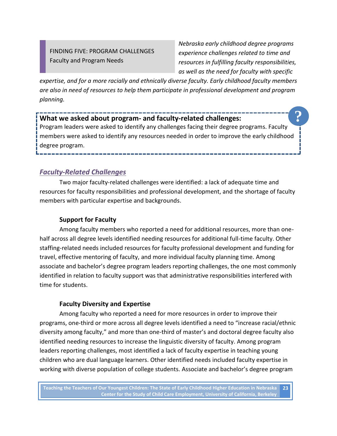# FINDING FIVE: PROGRAM CHALLENGES Faculty and Program Needs

*Nebraska early childhood degree programs experience challenges related to time and resources in fulfilling faculty responsibilities, as well as the need for faculty with specific* 

*expertise, and for a more racially and ethnically diverse faculty. Early childhood faculty members are also in need of resources to help them participate in professional development and program planning.* 

# **What we asked about program- and faculty-related challenges:**

Program leaders were asked to identify any challenges facing their degree programs. Faculty members were asked to identify any resources needed in order to improve the early childhood degree program. **?**

# *Faculty-Related Challenges*

Two major faculty-related challenges were identified: a lack of adequate time and resources for faculty responsibilities and professional development, and the shortage of faculty members with particular expertise and backgrounds.

## **Support for Faculty**

Among faculty members who reported a need for additional resources, more than onehalf across all degree levels identified needing resources for additional full-time faculty. Other staffing-related needs included resources for faculty professional development and funding for travel, effective mentoring of faculty, and more individual faculty planning time. Among associate and bachelor's degree program leaders reporting challenges, the one most commonly identified in relation to faculty support was that administrative responsibilities interfered with time for students.

## **Faculty Diversity and Expertise**

Among faculty who reported a need for more resources in order to improve their programs, one-third or more across all degree levels identified a need to "increase racial/ethnic diversity among faculty," and more than one-third of master's and doctoral degree faculty also identified needing resources to increase the linguistic diversity of faculty. Among program leaders reporting challenges, most identified a lack of faculty expertise in teaching young children who are dual language learners. Other identified needs included faculty expertise in working with diverse population of college students. Associate and bachelor's degree program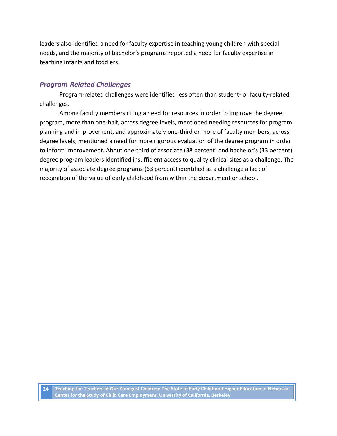leaders also identified a need for faculty expertise in teaching young children with special needs, and the majority of bachelor's programs reported a need for faculty expertise in teaching infants and toddlers.

#### *Program-Related Challenges*

Program-related challenges were identified less often than student- or faculty-related challenges.

Among faculty members citing a need for resources in order to improve the degree program, more than one-half, across degree levels, mentioned needing resources for program planning and improvement, and approximately one-third or more of faculty members, across degree levels, mentioned a need for more rigorous evaluation of the degree program in order to inform improvement. About one-third of associate (38 percent) and bachelor's (33 percent) degree program leaders identified insufficient access to quality clinical sites as a challenge. The majority of associate degree programs (63 percent) identified as a challenge a lack of recognition of the value of early childhood from within the department or school.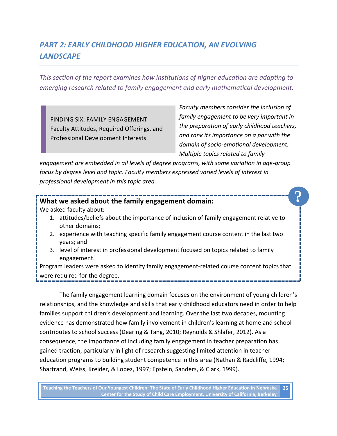# PART 2: EARLY CHILDHOOD HIGHER EDUCATION, AN EVOLVING *LANDSCAPE*

*This section of the report examines how institutions of higher education are adapting to emerging research related to family engagement and early mathematical development.*

FINDING SIX: FAMILY ENGAGEMENT Faculty Attitudes, Required Offerings, and Professional Development Interests

*Faculty members consider the inclusion of family engagement to be very important in the preparation of early childhood teachers, and rank its importance on a par with the domain of socio-emotional development. Multiple topics related to family* 

**?**

*engagement are embedded in all levels of degree programs, with some variation in age-group focus by degree level and topic. Faculty members expressed varied levels of interest in professional development in this topic area.*

# **What we asked about the family engagement domain:**

We asked faculty about:

- 1. attitudes/beliefs about the importance of inclusion of family engagement relative to other domains;
- 2. experience with teaching specific family engagement course content in the last two years; and
- 3. level of interest in professional development focused on topics related to family engagement.

Program leaders were asked to identify family engagement-related course content topics that were required for the degree.

The family engagement learning domain focuses on the environment of young children's relationships, and the knowledge and skills that early childhood educators need in order to help families support children's development and learning. Over the last two decades, mounting evidence has demonstrated how family involvement in children's learning at home and school contributes to school success (Dearing & Tang, 2010; Reynolds & Shlafer, 2012). As a consequence, the importance of including family engagement in teacher preparation has gained traction, particularly in light of research suggesting limited attention in teacher education programs to building student competence in this area (Nathan & Radcliffe, 1994; Shartrand, Weiss, Kreider, & Lopez, 1997; Epstein, Sanders, & Clark, 1999).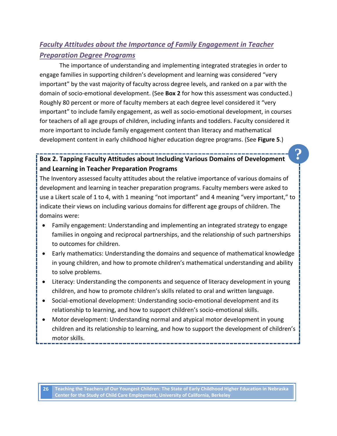# *Faculty Attitudes about the Importance of Family Engagement in Teacher Preparation Degree Programs*

The importance of understanding and implementing integrated strategies in order to engage families in supporting children's development and learning was considered "very important" by the vast majority of faculty across degree levels, and ranked on a par with the domain of socio-emotional development. (See **Box 2** for how this assessment was conducted.) Roughly 80 percent or more of faculty members at each degree level considered it "very important" to include family engagement, as well as socio-emotional development, in courses for teachers of all age groups of children, including infants and toddlers. Faculty considered it more important to include family engagement content than literacy and mathematical development content in early childhood higher education degree programs. (See **Figure 5**.)

# **Box 2. Tapping Faculty Attitudes about Including Various Domains of Development and Learning in Teacher Preparation Programs**

The Inventory assessed faculty attitudes about the relative importance of various domains of development and learning in teacher preparation programs. Faculty members were asked to use a Likert scale of 1 to 4, with 1 meaning "not important" and 4 meaning "very important," to indicate their views on including various domains for different age groups of children. The domains were:

- Family engagement: Understanding and implementing an integrated strategy to engage families in ongoing and reciprocal partnerships, and the relationship of such partnerships to outcomes for children.
- Early mathematics: Understanding the domains and sequence of mathematical knowledge in young children, and how to promote children's mathematical understanding and ability to solve problems.
- Literacy: Understanding the components and sequence of literacy development in young children, and how to promote children's skills related to oral and written language.
- Social-emotional development: Understanding socio-emotional development and its relationship to learning, and how to support children's socio-emotional skills.
- Motor development: Understanding normal and atypical motor development in young children and its relationship to learning, and how to support the development of children's motor skills.

**26 Teaching the Teachers of Our Youngest Children: The State of Early Childhood Higher Education in Nebraska Center for the Study of Child Care Employment, University of California, Berkeley**

**?**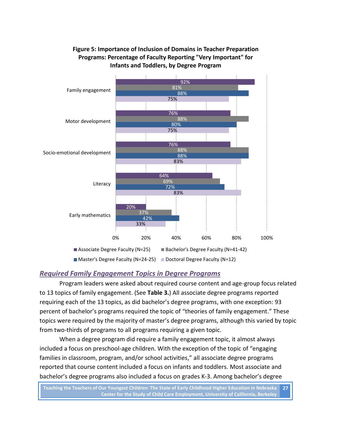

#### **Figure 5: Importance of Inclusion of Domains in Teacher Preparation Programs: Percentage of Faculty Reporting "Very Important" for Infants and Toddlers, by Degree Program**

#### *Required Family Engagement Topics in Degree Programs*

Program leaders were asked about required course content and age-group focus related to 13 topics of family engagement. (See **Table 3.**) All associate degree programs reported requiring each of the 13 topics, as did bachelor's degree programs, with one exception: 93 percent of bachelor's programs required the topic of "theories of family engagement." These topics were required by the majority of master's degree programs, although this varied by topic from two-thirds of programs to all programs requiring a given topic.

When a degree program did require a family engagement topic, it almost always included a focus on preschool-age children. With the exception of the topic of "engaging families in classroom, program, and/or school activities," all associate degree programs reported that course content included a focus on infants and toddlers. Most associate and bachelor's degree programs also included a focus on grades K-3. Among bachelor's degree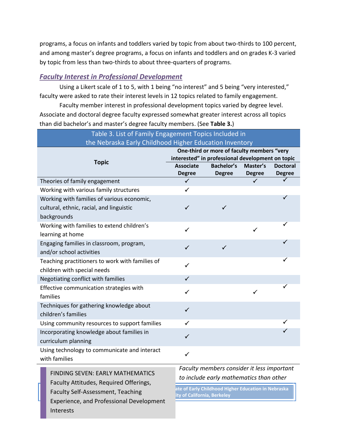programs, a focus on infants and toddlers varied by topic from about two-thirds to 100 percent, and among master's degree programs, a focus on infants and toddlers and on grades K-3 varied by topic from less than two-thirds to about three-quarters of programs.

# *Faculty Interest in Professional Development*

Using a Likert scale of 1 to 5, with 1 being "no interest" and 5 being "very interested," faculty were asked to rate their interest levels in 12 topics related to family engagement.

Faculty member interest in professional development topics varied by degree level. Associate and doctoral degree faculty expressed somewhat greater interest across all topics than did bachelor's and master's degree faculty members. (See **Table 3.**)

| Table 3. List of Family Engagement Topics Included in   |                                                  |                                    |                           |                                  |  |  |
|---------------------------------------------------------|--------------------------------------------------|------------------------------------|---------------------------|----------------------------------|--|--|
| the Nebraska Early Childhood Higher Education Inventory |                                                  |                                    |                           |                                  |  |  |
|                                                         | One-third or more of faculty members "very       |                                    |                           |                                  |  |  |
| <b>Topic</b>                                            | interested" in professional development on topic |                                    |                           |                                  |  |  |
|                                                         | <b>Associate</b><br><b>Degree</b>                | <b>Bachelor's</b><br><b>Degree</b> | Master's<br><b>Degree</b> | <b>Doctoral</b><br><b>Degree</b> |  |  |
| Theories of family engagement                           | $\checkmark$                                     |                                    | $\checkmark$              |                                  |  |  |
| Working with various family structures                  | $\checkmark$                                     |                                    |                           |                                  |  |  |
| Working with families of various economic,              |                                                  |                                    |                           |                                  |  |  |
| cultural, ethnic, racial, and linguistic                | $\checkmark$                                     | ✓                                  |                           |                                  |  |  |
| backgrounds                                             |                                                  |                                    |                           |                                  |  |  |
| Working with families to extend children's              | $\checkmark$                                     |                                    | ✓                         | ✓                                |  |  |
| learning at home                                        |                                                  |                                    |                           |                                  |  |  |
| Engaging families in classroom, program,                | $\checkmark$                                     | $\checkmark$                       |                           |                                  |  |  |
| and/or school activities                                |                                                  |                                    |                           |                                  |  |  |
| Teaching practitioners to work with families of         | ✓                                                |                                    |                           |                                  |  |  |
| children with special needs                             |                                                  |                                    |                           |                                  |  |  |
| Negotiating conflict with families                      | $\checkmark$                                     |                                    |                           |                                  |  |  |
| Effective communication strategies with                 | ✓                                                |                                    | $\checkmark$              |                                  |  |  |
| families                                                |                                                  |                                    |                           |                                  |  |  |
| Techniques for gathering knowledge about                | $\checkmark$                                     |                                    |                           |                                  |  |  |
| children's families                                     |                                                  |                                    |                           |                                  |  |  |
| Using community resources to support families           | ✓                                                |                                    |                           |                                  |  |  |
| Incorporating knowledge about families in               | $\checkmark$                                     |                                    |                           |                                  |  |  |
| curriculum planning                                     |                                                  |                                    |                           |                                  |  |  |
| Using technology to communicate and interact            | $\checkmark$                                     |                                    |                           |                                  |  |  |
| with families                                           |                                                  |                                    |                           |                                  |  |  |

*to include early mathematics than other* FINDING SEVEN: EARLY MATHEMATICS Faculty Attitudes, Required Offerings, Faculty Self-Assessment, Teaching Experience, and Professional Development Interests

*Faculty members consider it less important* 

**28 Teaching the Teachers of Our Youngest Children: The State of Early Childhood Higher Education in Nebraska ity of California, Berkeley**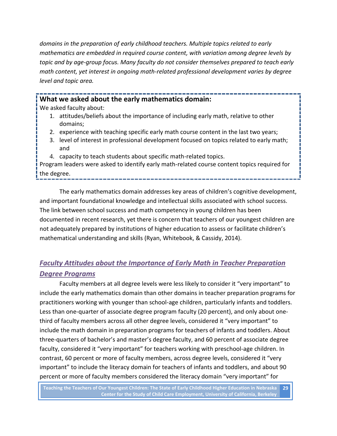*domains in the preparation of early childhood teachers. Multiple topics related to early mathematics are embedded in required course content, with variation among degree levels by topic and by age-group focus. Many faculty do not consider themselves prepared to teach early math content, yet interest in ongoing math-related professional development varies by degree level and topic area.*

# **What we asked about the early mathematics domain:**

We asked faculty about:

- 1. attitudes/beliefs about the importance of including early math, relative to other domains;
- 2. experience with teaching specific early math course content in the last two years;
- 3. level of interest in professional development focused on topics related to early math; and
- 4. capacity to teach students about specific math-related topics.

Program leaders were asked to identify early math-related course content topics required for the degree.

The early mathematics domain addresses key areas of children's cognitive development, and important foundational knowledge and intellectual skills associated with school success. The link between school success and math competency in young children has been documented in recent research, yet there is concern that teachers of our youngest children are not adequately prepared by institutions of higher education to assess or facilitate children's mathematical understanding and skills (Ryan, Whitebook, & Cassidy, 2014).

# *Faculty Attitudes about the Importance of Early Math in Teacher Preparation Degree Programs*

Faculty members at all degree levels were less likely to consider it "very important" to include the early mathematics domain than other domains in teacher preparation programs for practitioners working with younger than school-age children, particularly infants and toddlers. Less than one-quarter of associate degree program faculty (20 percent), and only about onethird of faculty members across all other degree levels, considered it "very important" to include the math domain in preparation programs for teachers of infants and toddlers. About three-quarters of bachelor's and master's degree faculty, and 60 percent of associate degree faculty, considered it "very important" for teachers working with preschool-age children. In contrast, 60 percent or more of faculty members, across degree levels, considered it "very important" to include the literacy domain for teachers of infants and toddlers, and about 90 percent or more of faculty members considered the literacy domain "very important" for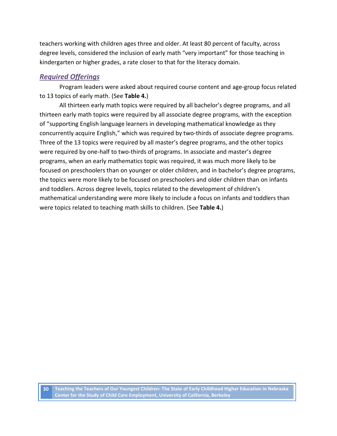teachers working with children ages three and older. At least 80 percent of faculty, across degree levels, considered the inclusion of early math "very important" for those teaching in kindergarten or higher grades, a rate closer to that for the literacy domain.

## *Required Offerings*

Program leaders were asked about required course content and age-group focus related to 13 topics of early math. (See **Table 4.**)

All thirteen early math topics were required by all bachelor's degree programs, and all thirteen early math topics were required by all associate degree programs, with the exception of "supporting English language learners in developing mathematical knowledge as they concurrently acquire English," which was required by two-thirds of associate degree programs. Three of the 13 topics were required by all master's degree programs, and the other topics were required by one-half to two-thirds of programs. In associate and master's degree programs, when an early mathematics topic was required, it was much more likely to be focused on preschoolers than on younger or older children, and in bachelor's degree programs, the topics were more likely to be focused on preschoolers and older children than on infants and toddlers. Across degree levels, topics related to the development of children's mathematical understanding were more likely to include a focus on infants and toddlers than were topics related to teaching math skills to children. (See **Table 4.**)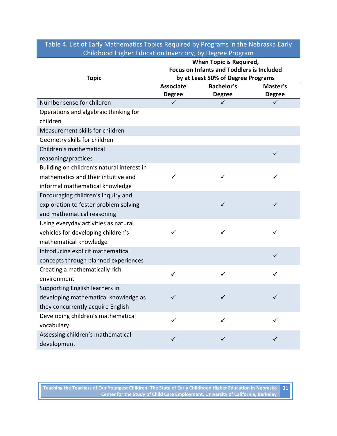# Table 4. List of Early Mathematics Topics Required by Programs in the Nebraska Early Childhood Higher Education Inventory, by Degree Program

|                                            | When Topic is Required,<br><b>Focus on Infants and Toddlers is Included</b> |                   |               |  |
|--------------------------------------------|-----------------------------------------------------------------------------|-------------------|---------------|--|
|                                            |                                                                             |                   |               |  |
| <b>Topic</b>                               | by at Least 50% of Degree Programs                                          |                   |               |  |
|                                            | <b>Associate</b>                                                            | <b>Bachelor's</b> | Master's      |  |
|                                            | <b>Degree</b>                                                               | <b>Degree</b>     | <b>Degree</b> |  |
| Number sense for children                  | ✓                                                                           | ✓                 | ✓             |  |
| Operations and algebraic thinking for      |                                                                             |                   |               |  |
| children                                   |                                                                             |                   |               |  |
| Measurement skills for children            |                                                                             |                   |               |  |
| Geometry skills for children               |                                                                             |                   |               |  |
| Children's mathematical                    |                                                                             |                   | $\checkmark$  |  |
| reasoning/practices                        |                                                                             |                   |               |  |
| Building on children's natural interest in |                                                                             |                   |               |  |
| mathematics and their intuitive and        | ✓                                                                           | ✓                 | ✓             |  |
| informal mathematical knowledge            |                                                                             |                   |               |  |
| Encouraging children's inquiry and         |                                                                             |                   |               |  |
| exploration to foster problem solving      |                                                                             | ✓                 | $\checkmark$  |  |
| and mathematical reasoning                 |                                                                             |                   |               |  |
| Using everyday activities as natural       |                                                                             |                   |               |  |
| vehicles for developing children's         | ✓                                                                           | ✓                 | $\checkmark$  |  |
| mathematical knowledge                     |                                                                             |                   |               |  |
| Introducing explicit mathematical          |                                                                             |                   | $\checkmark$  |  |
| concepts through planned experiences       |                                                                             |                   |               |  |
| Creating a mathematically rich             | $\checkmark$                                                                | ✓                 | ✓             |  |
| environment                                |                                                                             |                   |               |  |
| Supporting English learners in             |                                                                             |                   |               |  |
| developing mathematical knowledge as       |                                                                             |                   |               |  |
| they concurrently acquire English          |                                                                             |                   |               |  |
| Developing children's mathematical         | ✓                                                                           | ✓                 | ✓             |  |
| vocabulary                                 |                                                                             |                   |               |  |
| Assessing children's mathematical          | $\checkmark$                                                                | ✓                 | $\checkmark$  |  |
| development                                |                                                                             |                   |               |  |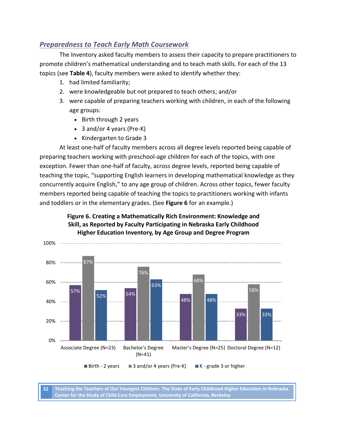# *Preparedness to Teach Early Math Coursework*

The Inventory asked faculty members to assess their capacity to prepare practitioners to promote children's mathematical understanding and to teach math skills. For each of the 13 topics (see **Table 4**), faculty members were asked to identify whether they:

- 1. had limited familiarity;
- 2. were knowledgeable but not prepared to teach others; and/or
- 3. were capable of preparing teachers working with children, in each of the following age groups:
	- Birth through 2 years
	- 3 and/or 4 years (Pre-K)
	- Kindergarten to Grade 3

At least one-half of faculty members across all degree levels reported being capable of preparing teachers working with preschool-age children for each of the topics, with one exception. Fewer than one-half of faculty, across degree levels, reported being capable of teaching the topic, "supporting English learners in developing mathematical knowledge as they concurrently acquire English," to any age group of children. Across other topics, fewer faculty members reported being capable of teaching the topics to practitioners working with infants and toddlers or in the elementary grades. (See **Figure 6** for an example.)

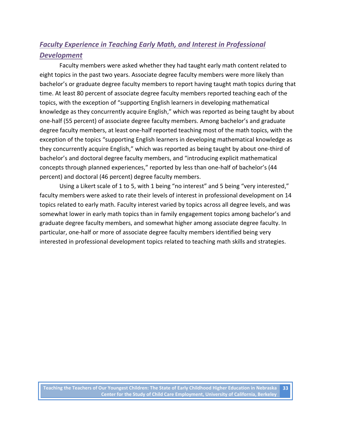# *Faculty Experience in Teaching Early Math, and Interest in Professional Development*

Faculty members were asked whether they had taught early math content related to eight topics in the past two years. Associate degree faculty members were more likely than bachelor's or graduate degree faculty members to report having taught math topics during that time. At least 80 percent of associate degree faculty members reported teaching each of the topics, with the exception of "supporting English learners in developing mathematical knowledge as they concurrently acquire English," which was reported as being taught by about one-half (55 percent) of associate degree faculty members. Among bachelor's and graduate degree faculty members, at least one-half reported teaching most of the math topics, with the exception of the topics "supporting English learners in developing mathematical knowledge as they concurrently acquire English," which was reported as being taught by about one-third of bachelor's and doctoral degree faculty members, and "introducing explicit mathematical concepts through planned experiences," reported by less than one-half of bachelor's (44 percent) and doctoral (46 percent) degree faculty members.

Using a Likert scale of 1 to 5, with 1 being "no interest" and 5 being "very interested," faculty members were asked to rate their levels of interest in professional development on 14 topics related to early math. Faculty interest varied by topics across all degree levels, and was somewhat lower in early math topics than in family engagement topics among bachelor's and graduate degree faculty members, and somewhat higher among associate degree faculty. In particular, one-half or more of associate degree faculty members identified being very interested in professional development topics related to teaching math skills and strategies.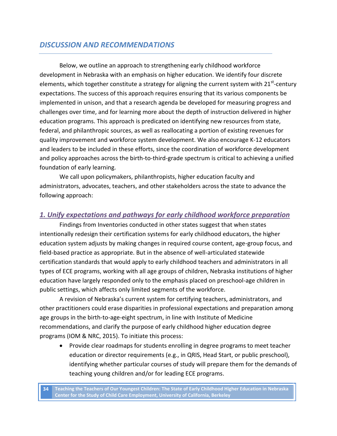# *DISCUSSION AND RECOMMENDATIONS*

Below, we outline an approach to strengthening early childhood workforce development in Nebraska with an emphasis on higher education. We identify four discrete elements, which together constitute a strategy for aligning the current system with 21<sup>st</sup>-century expectations. The success of this approach requires ensuring that its various components be implemented in unison, and that a research agenda be developed for measuring progress and challenges over time, and for learning more about the depth of instruction delivered in higher education programs. This approach is predicated on identifying new resources from state, federal, and philanthropic sources, as well as reallocating a portion of existing revenues for quality improvement and workforce system development. We also encourage K-12 educators and leaders to be included in these efforts, since the coordination of workforce development and policy approaches across the birth-to-third-grade spectrum is critical to achieving a unified foundation of early learning.

We call upon policymakers, philanthropists, higher education faculty and administrators, advocates, teachers, and other stakeholders across the state to advance the following approach:

# *1. Unify expectations and pathways for early childhood workforce preparation*

Findings from Inventories conducted in other states suggest that when states intentionally redesign their certification systems for early childhood educators, the higher education system adjusts by making changes in required course content, age-group focus, and field-based practice as appropriate. But in the absence of well-articulated statewide certification standards that would apply to early childhood teachers and administrators in all types of ECE programs, working with all age groups of children, Nebraska institutions of higher education have largely responded only to the emphasis placed on preschool-age children in public settings, which affects only limited segments of the workforce.

A revision of Nebraska's current system for certifying teachers, administrators, and other practitioners could erase disparities in professional expectations and preparation among age groups in the birth-to-age-eight spectrum, in line with Institute of Medicine recommendations, and clarify the purpose of early childhood higher education degree programs (IOM & NRC, 2015). To initiate this process:

 Provide clear roadmaps for students enrolling in degree programs to meet teacher education or director requirements (e.g., in QRIS, Head Start, or public preschool), identifying whether particular courses of study will prepare them for the demands of teaching young children and/or for leading ECE programs.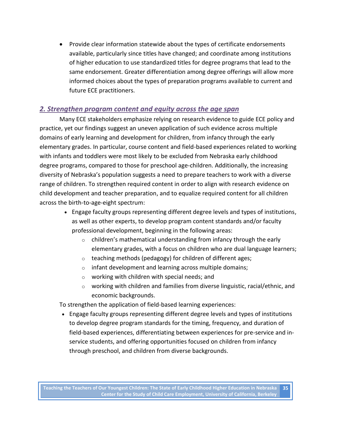• Provide clear information statewide about the types of certificate endorsements available, particularly since titles have changed; and coordinate among institutions of higher education to use standardized titles for degree programs that lead to the same endorsement. Greater differentiation among degree offerings will allow more informed choices about the types of preparation programs available to current and future ECE practitioners.

## *2. Strengthen program content and equity across the age span*

Many ECE stakeholders emphasize relying on research evidence to guide ECE policy and practice, yet our findings suggest an uneven application of such evidence across multiple domains of early learning and development for children, from infancy through the early elementary grades. In particular, course content and field-based experiences related to working with infants and toddlers were most likely to be excluded from Nebraska early childhood degree programs, compared to those for preschool age-children. Additionally, the increasing diversity of Nebraska's population suggests a need to prepare teachers to work with a diverse range of children. To strengthen required content in order to align with research evidence on child development and teacher preparation, and to equalize required content for all children across the birth-to-age-eight spectrum:

- Engage faculty groups representing different degree levels and types of institutions, as well as other experts, to develop program content standards and/or faculty professional development, beginning in the following areas:
	- $\circ$  children's mathematical understanding from infancy through the early elementary grades, with a focus on children who are dual language learners;
	- o teaching methods (pedagogy) for children of different ages;
	- o infant development and learning across multiple domains;
	- $\circ$  working with children with special needs; and
	- $\circ$  working with children and families from diverse linguistic, racial/ethnic, and economic backgrounds.

To strengthen the application of field-based learning experiences:

 Engage faculty groups representing different degree levels and types of institutions to develop degree program standards for the timing, frequency, and duration of field-based experiences, differentiating between experiences for pre-service and inservice students, and offering opportunities focused on children from infancy through preschool, and children from diverse backgrounds.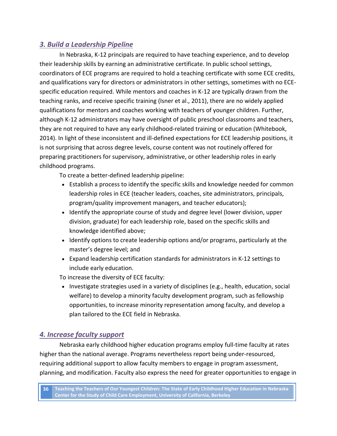# *3. Build a Leadership Pipeline*

In Nebraska, K-12 principals are required to have teaching experience, and to develop their leadership skills by earning an administrative certificate. In public school settings, coordinators of ECE programs are required to hold a teaching certificate with some ECE credits, and qualifications vary for directors or administrators in other settings, sometimes with no ECEspecific education required. While mentors and coaches in K-12 are typically drawn from the teaching ranks, and receive specific training (Isner et al., 2011), there are no widely applied qualifications for mentors and coaches working with teachers of younger children. Further, although K-12 administrators may have oversight of public preschool classrooms and teachers, they are not required to have any early childhood-related training or education (Whitebook, 2014). In light of these inconsistent and ill-defined expectations for ECE leadership positions, it is not surprising that across degree levels, course content was not routinely offered for preparing practitioners for supervisory, administrative, or other leadership roles in early childhood programs.

To create a better-defined leadership pipeline:

- Establish a process to identify the specific skills and knowledge needed for common leadership roles in ECE (teacher leaders, coaches, site administrators, principals, program/quality improvement managers, and teacher educators);
- Identify the appropriate course of study and degree level (lower division, upper division, graduate) for each leadership role, based on the specific skills and knowledge identified above;
- Identify options to create leadership options and/or programs, particularly at the master's degree level; and
- Expand leadership certification standards for administrators in K-12 settings to include early education.

To increase the diversity of ECE faculty:

• Investigate strategies used in a variety of disciplines (e.g., health, education, social welfare) to develop a minority faculty development program, such as fellowship opportunities, to increase minority representation among faculty, and develop a plan tailored to the ECE field in Nebraska.

# *4. Increase faculty support*

Nebraska early childhood higher education programs employ full-time faculty at rates higher than the national average. Programs nevertheless report being under-resourced, requiring additional support to allow faculty members to engage in program assessment, planning, and modification. Faculty also express the need for greater opportunities to engage in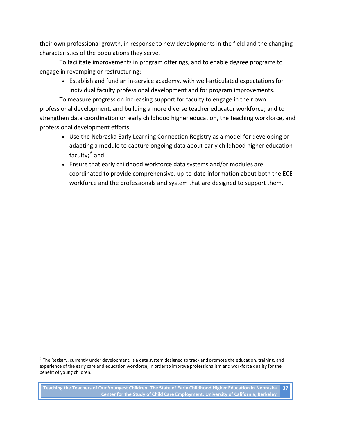their own professional growth, in response to new developments in the field and the changing characteristics of the populations they serve.

To facilitate improvements in program offerings, and to enable degree programs to engage in revamping or restructuring:

 Establish and fund an in-service academy, with well-articulated expectations for individual faculty professional development and for program improvements.

To measure progress on increasing support for faculty to engage in their own professional development, and building a more diverse teacher educator workforce; and to strengthen data coordination on early childhood higher education, the teaching workforce, and professional development efforts:

- Use the Nebraska Early Learning Connection Registry as a model for developing or adapting a module to capture ongoing data about early childhood higher education faculty; <sup>6</sup> and
- Ensure that early childhood workforce data systems and/or modules are coordinated to provide comprehensive, up-to-date information about both the ECE workforce and the professionals and system that are designed to support them.

 $\overline{a}$ 

 $^6$  The Registry, currently under development, is a data system designed to track and promote the education, training, and experience of the early care and education workforce, in order to improve professionalism and workforce quality for the benefit of young children.

**Teaching the Teachers of Our Youngest Children: The State of Early Childhood Higher Education in Nebraska 37 Center for the Study of Child Care Employment, University of California, Berkeley**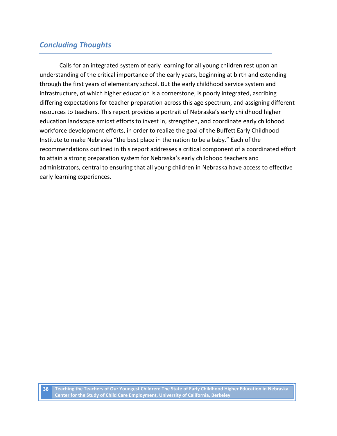# *Concluding Thoughts*

Calls for an integrated system of early learning for all young children rest upon an understanding of the critical importance of the early years, beginning at birth and extending through the first years of elementary school. But the early childhood service system and infrastructure, of which higher education is a cornerstone, is poorly integrated, ascribing differing expectations for teacher preparation across this age spectrum, and assigning different resources to teachers. This report provides a portrait of Nebraska's early childhood higher education landscape amidst efforts to invest in, strengthen, and coordinate early childhood workforce development efforts, in order to realize the goal of the Buffett Early Childhood Institute to make Nebraska "the best place in the nation to be a baby." Each of the recommendations outlined in this report addresses a critical component of a coordinated effort to attain a strong preparation system for Nebraska's early childhood teachers and administrators, central to ensuring that all young children in Nebraska have access to effective early learning experiences.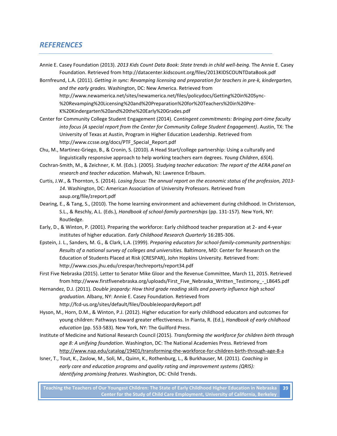#### *REFERENCES*

Annie E. Casey Foundation (2013). *2013 Kids Count Data Book: State trends in child well-being.* The Annie E. Casey Foundation. Retrieved from http://datacenter.kidscount.org/files/2013KIDSCOUNTDataBook.pdf

Bornfreund, L.A. (2011). *Getting in sync: Revamping licensing and preparation for teachers in pre-k, kindergarten, and the early grades.* Washington, DC: New America. Retrieved from [http://www.newamerica.net/sites/newamerica.net/files/policydocs/Getting%20in%20Sync-](http://www.newamerica.net/sites/newamerica.net/files/policydocs/Getting%20in%20Sync-%20Revamping%20Licensing%20and%20Preparation%20for%20Teachers%20in%20Pre-K%20Kindergarten%20and%20the%20Early%20Grades.pdf) [%20Revamping%20Licensing%20and%20Preparation%20for%20Teachers%20in%20Pre-](http://www.newamerica.net/sites/newamerica.net/files/policydocs/Getting%20in%20Sync-%20Revamping%20Licensing%20and%20Preparation%20for%20Teachers%20in%20Pre-K%20Kindergarten%20and%20the%20Early%20Grades.pdf)[K%20Kindergarten%20and%20the%20Early%20Grades.pdf](http://www.newamerica.net/sites/newamerica.net/files/policydocs/Getting%20in%20Sync-%20Revamping%20Licensing%20and%20Preparation%20for%20Teachers%20in%20Pre-K%20Kindergarten%20and%20the%20Early%20Grades.pdf)

- Center for Community College Student Engagement (2014). C*ontingent commitments: Bringing part-time faculty into focus (A special report from the Center for Community College Student Engagement)*. Austin, TX: The University of Texas at Austin, Program in Higher Education Leadership. Retrieved from [http://www.ccsse.org/docs/PTF\\_Special\\_Report.pdf](http://www.ccsse.org/docs/PTF_Special_Report.pdf)
- Chu, M., Martinez-Griego, B., & Cronin, S. (2010). A Head Start/college partnership: Using a culturally and linguistically responsive approach to help working teachers earn degrees. *Young Children*, *65*(4).
- Cochran-Smith, M., & Zeichner, K. M. (Eds.). (2005). *Studying teacher education: The report of the AERA panel on research and teacher education.* Mahwah, NJ: Lawrence Erlbaum.
- Curtis, J.W., & Thornton, S. (2014). *Losing focus: The annual report on the economic status of the profession, 2013- 14*. Washington, DC: American Association of University Professors. Retrieved from [aaup.org/file/zreport.pdf](http://aaup.org/file/zreport.pdf)
- Dearing, E., & Tang, S., (2010). The home learning environment and achievement during childhood. In Christenson, S.L., & Reschly, A.L. (Eds.), *Handbook of school-family partnerships* (pp. 131-157)*.* New York, NY: Routledge.
- Early, D., & Winton, P. (2001). Preparing the workforce: Early childhood teacher preparation at 2- and 4-year institutes of higher education. *Early Childhood Research Quarterly* 16:285-306.
- Epstein, J. L., Sanders, M. G., & Clark, L.A. (1999). *Preparing educators for school-family-community partnerships: Results of a national survey of colleges and universities.* Baltimore, MD: Center for Research on the Education of Students Placed at Risk (CRESPAR), John Hopkins University. Retrieved from: http://www.csos.jhu.edu/crespar/techreports/report34.pdf
- First Five Nebraska (2015). Letter to Senator Mike Gloor and the Revenue Committee, March 11, 2015. Retrieved from http://www.firstfivenebraska.org/uploads/First\_Five\_Nebraska\_Written\_Testimony\_-\_LB645.pdf
- Hernandez, D.J. (2011). *Double jeopardy: How third grade reading skills and poverty influence high school graduation.* Albany, NY: Annie E. Casey Foundation. Retrieved from http://fcd-us.org/sites/default/files/DoubleJeopardyReport.pdf
- Hyson, M., Horn, D.M., & Winton, P.J. (2012). Higher education for early childhood educators and outcomes for young children: Pathways toward greater effectiveness. In Pianta, R. (Ed.), *Handbook of early childhood education* (pp. 553-583). New York, NY: The Guilford Press.
- Institute of Medicine and National Research Council (2015). *Transforming the workforce for children birth through age 8: A unifying foundation*. Washington, DC: The National Academies Press. Retrieved from http://www.nap.edu/catalog/19401/transforming-the-workforce-for-children-birth-through-age-8-a
- Isner, T., Tout, K., Zaslow, M., Soli, M., Quinn, K., Rothenburg, L., & Burkhauser, M. (2011). *Coaching in early care and education programs and quality rating and improvement systems (QRIS): Identifying promising features*. Washington, DC: Child Trends.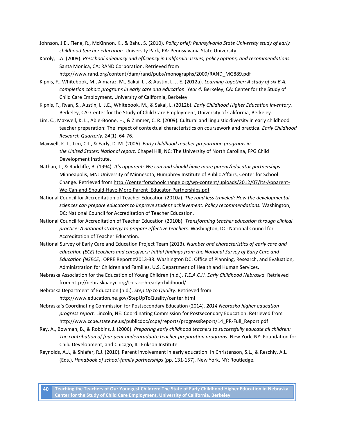- Johnson, J.E., Fiene, R., McKinnon, K., & Bahu, S. (2010). *Policy brief: Pennsylvania State University study of early childhood teacher education.* University Park, PA: Pennsylvania State University.
- Karoly, L.A. (2009). *Preschool adequacy and efficiency in California: Issues, policy options, and recommendations.*  Santa Monica, CA: RAND Corporation. Retrieved from http://www.rand.org/content/dam/rand/pubs/monographs/2009/RAND\_MG889.pdf
- Kipnis, F., Whitebook, M., Almaraz, M., Sakai, L., & Austin, L. J. E. (2012a). *Learning together: A study of six B.A.*  completion cohort programs in early care and education. Year 4. Berkeley, CA: Center for the Study of Child Care Employment, University of California, Berkeley.
- Kipnis, F., Ryan, S., Austin, L. J.E., Whitebook, M., & Sakai, L. (2012b). *Early Childhood Higher Education Inventory.*  Berkeley, CA: Center for the Study of Child Care Employment, University of California, Berkeley.
- Lim, C., Maxwell, K. L., Able-Boone, H., & Zimmer, C. R. (2009). Cultural and linguistic diversity in early childhood teacher preparation: The impact of contextual characteristics on coursework and practica. *Early Childhood Research Quarterly*, *24*(1), 64-76.
- Maxwell, K. L., Lim, C-I., & Early, D. M. (2006). *Early childhood teacher preparation programs in the United States: National report.* Chapel Hill, NC: The University of North Carolina, FPG Child Development Institute.
- Nathan, J., & Radcliffe, B. (1994). *It's apparent: We can and should have more parent/educator partnerships.*  Minneapolis, MN: University of Minnesota, Humphrey Institute of Public Affairs, Center for School Change. Retrieved fro[m http://centerforschoolchange.org/wp-content/uploads/2012/07/Its-Apparent-](http://centerforschoolchange.org/wp-content/uploads/2012/07/Its-Apparent-We-Can-and-Should-Have-More-Parent_Educator-Partnerships.pdf)[We-Can-and-Should-Have-More-Parent\\_Educator-Partnerships.pdf](http://centerforschoolchange.org/wp-content/uploads/2012/07/Its-Apparent-We-Can-and-Should-Have-More-Parent_Educator-Partnerships.pdf)
- National Council for Accreditation of Teacher Education (2010a). *The road less traveled: How the developmental sciences can prepare educators to improve student achievement: Policy recommendations.* Washington, DC: National Council for Accreditation of Teacher Education.
- National Council for Accreditation of Teacher Education (2010b). *Transforming teacher education through clinical practice: A national strategy to prepare effective teachers.* Washington, DC: National Council for Accreditation of Teacher Education.
- National Survey of Early Care and Education Project Team (2013). *Number and characteristics of early care and education (ECE) teachers and caregivers: Initial findings from the National Survey of Early Care and Education (NSECE).* OPRE Report #2013-38. Washington DC: Office of Planning, Research, and Evaluation, Administration for Children and Families, U.S. Department of Health and Human Services.
- Nebraska Association for the Education of Young Children (n.d.). *T.E.A.C.H. Early Childhood Nebraska.* Retrieved from http://nebraskaaeyc.org/t-e-a-c-h-early-childhood/
- Nebraska Department of Education (n.d.). *Step Up to Quality*. Retrieved from http://www.education.ne.gov/StepUpToQuality/center.html
- Nebraska's Coordinating Commission for Postsecondary Education (2014). *2014 Nebraska higher education progress report.* Lincoln, NE: Coordinating Commission for Postsecondary Education. Retrieved from http://www.ccpe.state.ne.us/publicdoc/ccpe/reports/progressReport/14\_PR-Full\_Report.pdf
- Ray, A., Bowman, B., & Robbins, J. (2006). *Preparing early childhood teachers to successfully educate all children: The contribution of four-year undergraduate teacher preparation programs.* New York, NY: Foundation for Child Development, and Chicago, IL: Erikson Institute.
- Reynolds, A.J., & Shlafer, R.J. (2010). Parent involvement in early education. In Christenson, S.L., & Reschly, A.L. (Eds.), *Handbook of school-family partnerships* (pp. 131-157)*.* New York, NY: Routledge.